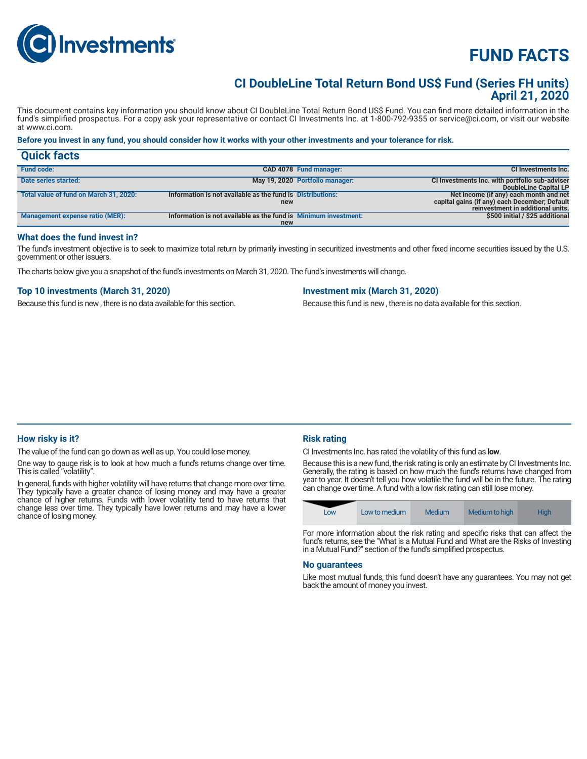

# **FUND FACTS**

### **CI DoubleLine Total Return Bond US\$ Fund (Series FH units) April 21, 2020**

This document contains key information you should know about CI DoubleLine Total Return Bond US\$ Fund. You can find more detailed information in the fund's simplified prospectus. For a copy ask your representative or contact CI Investments Inc. at 1-800-792-9355 or service@ci.com, or visit our website at www.ci.com.

#### **Before you invest in any fund, you should consider how it works with your other investments and your tolerance for risk.**

| <b>Quick facts</b>                     |                                                                 |                                 |                                                                                    |
|----------------------------------------|-----------------------------------------------------------------|---------------------------------|------------------------------------------------------------------------------------|
| <b>Fund code:</b>                      |                                                                 | CAD 4078 Fund manager:          | <b>CI Investments Inc.</b>                                                         |
| Date series started:                   |                                                                 | May 19, 2020 Portfolio manager: | CI Investments Inc. with portfolio sub-adviser<br>DoubleLine Capital LP            |
| Total value of fund on March 31, 2020: | Information is not available as the fund is Distributions:      |                                 | Net income (if any) each month and net                                             |
|                                        | new                                                             |                                 | capital gains (if any) each December; Default<br>reinvestment in additional units. |
|                                        |                                                                 |                                 |                                                                                    |
| Management expense ratio (MER):        | Information is not available as the fund is Minimum investment: |                                 | \$500 initial / \$25 additional                                                    |
|                                        | new                                                             |                                 |                                                                                    |

#### **What does the fund invest in?**

The fund's investment objective is to seek to maximize total return by primarily investing in securitized investments and other fixed income securities issued by the U.S. government or other issuers.

The charts below give you a snapshot of the fund's investments on March 31, 2020. The fund's investments will change.

#### **Top 10 investments (March 31, 2020)**

Because this fund is new , there is no data available for this section.

#### **Investment mix (March 31, 2020)**

Because this fund is new , there is no data available for this section.

#### **How risky is it?**

The value of the fund can go down as well as up. You could lose money.

One way to gauge risk is to look at how much a fund's returns change over time. This is called "volatility".

In general, funds with higher volatility will have returns that change more over time. They typically have a greater chance of losing money and may have a greater chance of higher returns. Funds with lower volatility tend to have returns that change less over time. They typically have lower returns and may have a lower chance of losing money.

#### **Risk rating**

CI Investments Inc. has rated the volatility of this fund as **low**.

Because this is a new fund, the risk rating is only an estimate by CI Investments Inc. Generally, the rating is based on how much the fund's returns have changed from year to year. It doesn't tell you how volatile the fund will be in the future. The rating can change over time. A fund with a low risk rating can still lose money.

| LOW | Low to medium | Medium | Medium to high | Hiah |
|-----|---------------|--------|----------------|------|
|-----|---------------|--------|----------------|------|

For more information about the risk rating and specific risks that can affect the fund's returns, see the "What is a Mutual Fund and What are the Risks of Investing in a Mutual Fund?" section of the fund's simplified prospectus.

#### **No guarantees**

Like most mutual funds, this fund doesn't have any guarantees. You may not get back the amount of money you invest.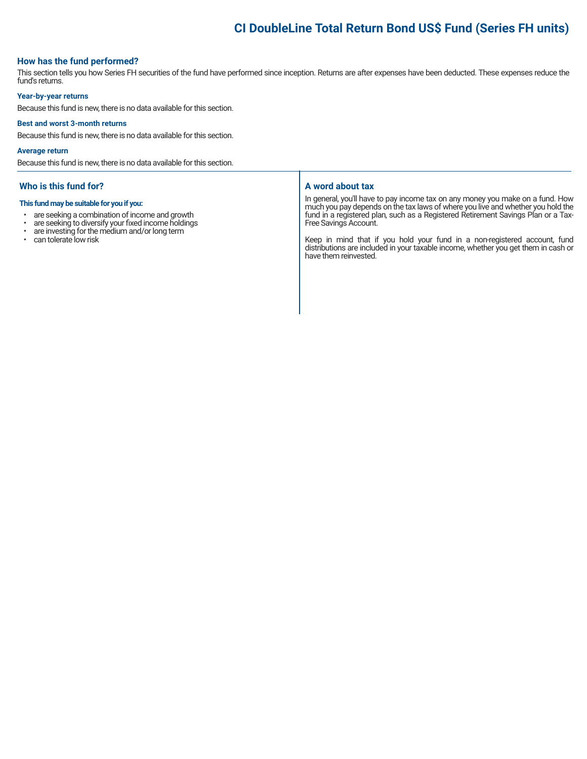## **CI DoubleLine Total Return Bond US\$ Fund (Series FH units)**

#### **How has the fund performed?**

This section tells you how Series FH securities of the fund have performed since inception. Returns are after expenses have been deducted. These expenses reduce the fund's returns.

#### **Year-by-year returns**

Because this fund is new, there is no data available for this section.

#### **Best and worst 3-month returns**

Because this fund is new, there is no data available for this section.

#### **Average return**

Because this fund is new, there is no data available for this section.

#### **Who is this fund for?**

#### **This fund may be suitable for you if you:**

- are seeking a combination of income and growth<br>• are seeking to diversify your fixed income holdings
- are seeking to diversify your fixed income holdings<br>• are investing for the medium and/or long term
- $\cdot$  are investing for the medium and/or long term<br> $\cdot$  can tolerate low risk
- can tolerate low risk

#### **A word about tax**

In general, you'll have to pay income tax on any money you make on a fund. How much you pay depends on the tax laws of where you live and whether you hold the fund in a registered plan, such as a Registered Retirement Savings Plan or a Tax-Free Savings Account.

Keep in mind that if you hold your fund in a non-registered account, fund distributions are included in your taxable income, whether you get them in cash or have them reinvested.